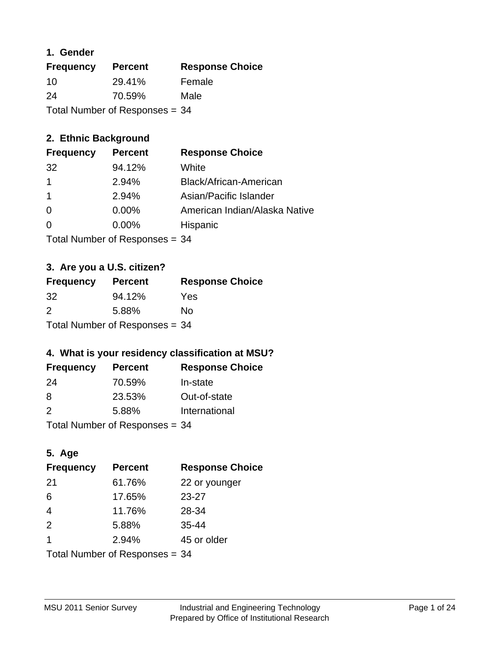#### **1. Gender**

| <b>Frequency</b>               | <b>Percent</b> | <b>Response Choice</b> |
|--------------------------------|----------------|------------------------|
| 10                             | 29.41%         | Female                 |
| 24                             | 70.59%         | Male                   |
| Total Number of Responses = 34 |                |                        |

### **2. Ethnic Background**

| <b>Frequency</b> | <b>Percent</b> | <b>Response Choice</b>        |
|------------------|----------------|-------------------------------|
| 32               | 94.12%         | White                         |
| 1                | 2.94%          | Black/African-American        |
| $\overline{1}$   | 2.94%          | Asian/Pacific Islander        |
| 0                | 0.00%          | American Indian/Alaska Native |
| 0                | 0.00%          | Hispanic                      |
|                  |                |                               |

Total Number of Responses = 34

#### **3. Are you a U.S. citizen?**

| <b>Frequency</b>                 | <b>Percent</b> | <b>Response Choice</b> |
|----------------------------------|----------------|------------------------|
| 32 <sup>-</sup>                  | 94.12%         | Yes                    |
| $\mathcal{P}$                    | 5.88%          | Nο                     |
| Total Number of Responses = $34$ |                |                        |

### **4. What is your residency classification at MSU?**

| <b>Frequency</b> | <b>Percent</b> | <b>Response Choice</b> |
|------------------|----------------|------------------------|
| -24              | 70.59%         | In-state               |
| -8               | 23.53%         | Out-of-state           |
| 2                | 5.88%          | International          |
|                  |                |                        |

Total Number of Responses = 34

### **5. Age**

| <b>Frequency</b>               | <b>Percent</b> | <b>Response Choice</b> |
|--------------------------------|----------------|------------------------|
| -21                            | 61.76%         | 22 or younger          |
| 6                              | 17.65%         | 23-27                  |
| $\overline{4}$                 | 11.76%         | 28-34                  |
| 2                              | 5.88%          | $35 - 44$              |
| 1                              | 2.94%          | 45 or older            |
| Total Number of Responses = 34 |                |                        |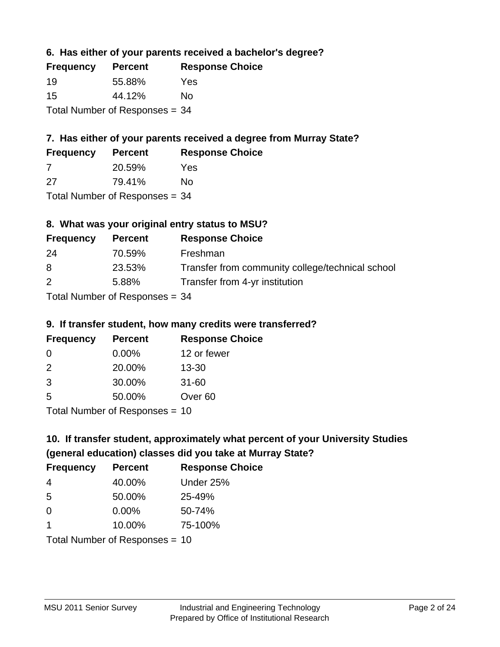#### **6. Has either of your parents received a bachelor's degree?**

| <b>Frequency</b>                 | <b>Percent</b> | <b>Response Choice</b> |
|----------------------------------|----------------|------------------------|
| 19                               | 55.88%         | Yes                    |
| 15                               | 44.12%         | Nο                     |
| Total Number of Responses $= 34$ |                |                        |

### **7. Has either of your parents received a degree from Murray State?**

| <b>Frequency</b> | <b>Percent</b> | <b>Response Choice</b> |
|------------------|----------------|------------------------|
|                  | 20.59%         | Yes.                   |
| -27              | 79.41%         | No                     |

Total Number of Responses = 34

### **8. What was your original entry status to MSU?**

| <b>Frequency</b> | <b>Percent</b>                   | <b>Response Choice</b>                           |
|------------------|----------------------------------|--------------------------------------------------|
| 24               | 70.59%                           | Freshman                                         |
| 8                | 23.53%                           | Transfer from community college/technical school |
| 2                | 5.88%                            | Transfer from 4-yr institution                   |
|                  | Total Number of Responses $= 34$ |                                                  |

#### **9. If transfer student, how many credits were transferred?**

| <b>Frequency</b>               | <b>Percent</b> | <b>Response Choice</b> |
|--------------------------------|----------------|------------------------|
| -0                             | $0.00\%$       | 12 or fewer            |
| $\mathcal{P}$                  | 20.00%         | $13 - 30$              |
| 3                              | 30.00%         | $31 - 60$              |
| -5                             | 50.00%         | Over <sub>60</sub>     |
| $Total Number of Denance = 10$ |                |                        |

I otal Number of Responses = 10

### **10. If transfer student, approximately what percent of your University Studies (general education) classes did you take at Murray State?**

| <b>Frequency</b>               | <b>Percent</b> | <b>Response Choice</b> |
|--------------------------------|----------------|------------------------|
| 4                              | 40.00%         | Under 25%              |
| 5                              | 50.00%         | 25-49%                 |
| $\Omega$                       | $0.00\%$       | 50-74%                 |
| 1                              | 10.00%         | 75-100%                |
| Total Number of Responses = 10 |                |                        |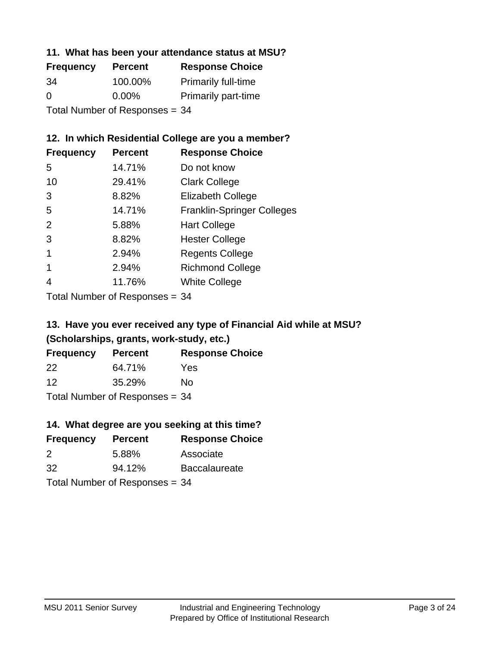#### **11. What has been your attendance status at MSU?**

| <b>Frequency</b>               | <b>Percent</b> | <b>Response Choice</b>     |
|--------------------------------|----------------|----------------------------|
| 34                             | 100.00%        | <b>Primarily full-time</b> |
| $\Omega$                       | $0.00\%$       | <b>Primarily part-time</b> |
| Total Number of Responses = 34 |                |                            |

### **12. In which Residential College are you a member?**

| <b>Percent</b> | <b>Response Choice</b>            |
|----------------|-----------------------------------|
| 14.71%         | Do not know                       |
| 29.41%         | <b>Clark College</b>              |
| 8.82%          | <b>Elizabeth College</b>          |
| 14.71%         | <b>Franklin-Springer Colleges</b> |
| 5.88%          | <b>Hart College</b>               |
| 8.82%          | <b>Hester College</b>             |
| 2.94%          | <b>Regents College</b>            |
| 2.94%          | <b>Richmond College</b>           |
| 11.76%         | <b>White College</b>              |
|                |                                   |

Total Number of Responses = 34

### **13. Have you ever received any type of Financial Aid while at MSU? (Scholarships, grants, work-study, etc.)**

| <b>Frequency</b>               | <b>Percent</b> | <b>Response Choice</b> |  |
|--------------------------------|----------------|------------------------|--|
| 22                             | 64.71%         | Yes                    |  |
| 12                             | 35.29%         | No                     |  |
| Total Number of Responses = 34 |                |                        |  |

**14. What degree are you seeking at this time?**

| <b>Frequency</b> | <b>Percent</b>                 | <b>Response Choice</b> |
|------------------|--------------------------------|------------------------|
| 2                | 5.88%                          | Associate              |
| 32               | 94.12%                         | Baccalaureate          |
|                  | Total Number of Responses = 34 |                        |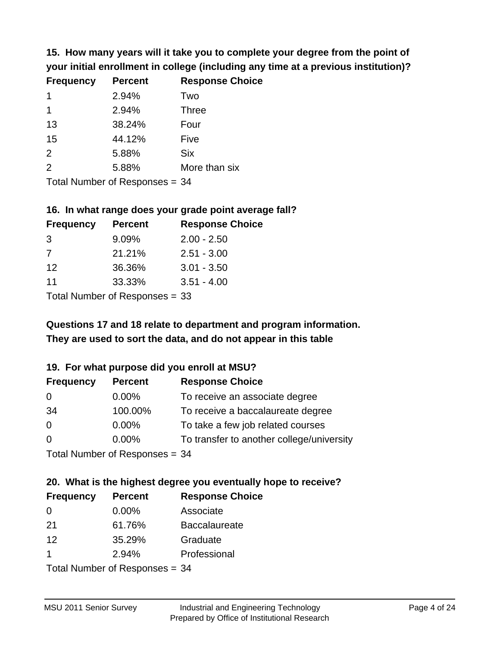**15. How many years will it take you to complete your degree from the point of your initial enrollment in college (including any time at a previous institution)?**

| <b>Frequency</b> | <b>Percent</b> | <b>Response Choice</b> |
|------------------|----------------|------------------------|
| 1                | 2.94%          | Two                    |
| 1                | 2.94%          | <b>Three</b>           |
| 13               | 38.24%         | Four                   |
| 15               | 44.12%         | Five                   |
| 2                | 5.88%          | <b>Six</b>             |
| 2                | 5.88%          | More than six          |
|                  |                |                        |

Total Number of Responses = 34

#### **16. In what range does your grade point average fall?**

| <b>Frequency</b> | <b>Percent</b> | <b>Response Choice</b> |
|------------------|----------------|------------------------|
| -3               | 9.09%          | $2.00 - 2.50$          |
| 7                | 21.21%         | $2.51 - 3.00$          |
| 12               | 36.36%         | $3.01 - 3.50$          |
| 11               | 33.33%         | $3.51 - 4.00$          |
|                  |                |                        |

Total Number of Responses = 33

### **They are used to sort the data, and do not appear in this table Questions 17 and 18 relate to department and program information.**

#### **19. For what purpose did you enroll at MSU?**

| <b>Frequency</b> | <b>Percent</b>                  | <b>Response Choice</b>                    |
|------------------|---------------------------------|-------------------------------------------|
| 0                | $0.00\%$                        | To receive an associate degree            |
| 34               | 100.00%                         | To receive a baccalaureate degree         |
| $\overline{0}$   | $0.00\%$                        | To take a few job related courses         |
| $\Omega$         | 0.00%                           | To transfer to another college/university |
|                  | Total Number of Responses $-34$ |                                           |

Total Number of Responses  $= 34$ 

### **20. What is the highest degree you eventually hope to receive?**

| <b>Frequency</b> | <b>Percent</b>               | <b>Response Choice</b> |
|------------------|------------------------------|------------------------|
| 0                | $0.00\%$                     | Associate              |
| 21               | 61.76%                       | <b>Baccalaureate</b>   |
| 12               | 35.29%                       | Graduate               |
| -1               | 2.94%                        | Professional           |
|                  | Total Number of Deepensee 24 |                        |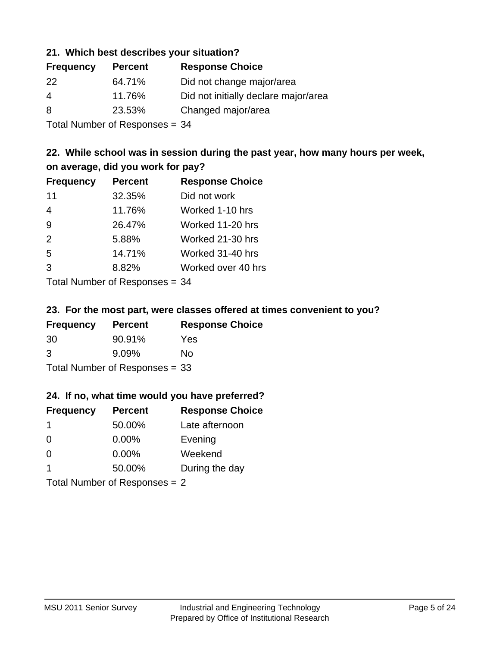#### **21. Which best describes your situation?**

| <b>Frequency</b> | <b>Percent</b> | <b>Response Choice</b>               |
|------------------|----------------|--------------------------------------|
| 22               | 64.71%         | Did not change major/area            |
| 4                | 11.76%         | Did not initially declare major/area |
| 8                | 23.53%         | Changed major/area                   |
|                  |                |                                      |

Total Number of Responses = 34

#### **22. While school was in session during the past year, how many hours per week, on average, did you work for pay?**

| <b>Frequency</b> | <b>Percent</b> | <b>Response Choice</b> |
|------------------|----------------|------------------------|
| 11               | 32.35%         | Did not work           |
| $\overline{4}$   | 11.76%         | Worked 1-10 hrs        |
| 9                | 26.47%         | Worked 11-20 hrs       |
| 2                | 5.88%          | Worked 21-30 hrs       |
| 5                | 14.71%         | Worked 31-40 hrs       |
| 3                | 8.82%          | Worked over 40 hrs     |
|                  |                |                        |

Total Number of Responses = 34

#### **23. For the most part, were classes offered at times convenient to you?**

| <b>Frequency</b> | <b>Percent</b>                 | <b>Response Choice</b> |
|------------------|--------------------------------|------------------------|
| 30               | 90.91%                         | Yes                    |
| 3                | $9.09\%$                       | Nο                     |
|                  | Total Number of Responses = 33 |                        |

#### **24. If no, what time would you have preferred?**

| <b>Frequency</b> | <b>Percent</b>                  | <b>Response Choice</b> |
|------------------|---------------------------------|------------------------|
| $\mathbf 1$      | 50.00%                          | Late afternoon         |
| $\overline{0}$   | $0.00\%$                        | Evening                |
| 0                | $0.00\%$                        | Weekend                |
| $\overline{1}$   | 50.00%                          | During the day         |
|                  | Total Number of Responses = $2$ |                        |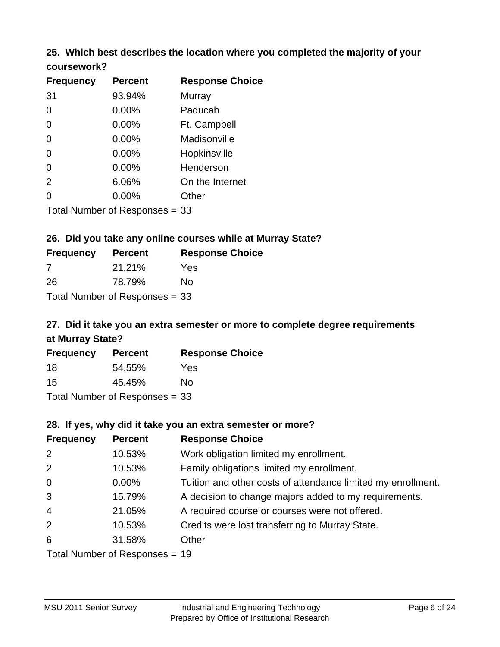### **25. Which best describes the location where you completed the majority of your**

| coursework? |  |
|-------------|--|
|-------------|--|

| <b>Frequency</b> | <b>Percent</b>                   | <b>Response Choice</b> |
|------------------|----------------------------------|------------------------|
| 31               | 93.94%                           | Murray                 |
| 0                | 0.00%                            | Paducah                |
| 0                | 0.00%                            | Ft. Campbell           |
| $\overline{0}$   | 0.00%                            | Madisonville           |
| 0                | 0.00%                            | Hopkinsville           |
| 0                | 0.00%                            | Henderson              |
| 2                | 6.06%                            | On the Internet        |
| 0                | 0.00%                            | Other                  |
|                  | Total Number of Responses $= 33$ |                        |

#### **26. Did you take any online courses while at Murray State?**

| <b>Frequency</b> | <b>Percent</b>                 | <b>Response</b> |
|------------------|--------------------------------|-----------------|
| -7               | 21.21%                         | Yes             |
| -26              | 78.79%                         | No              |
|                  | Total Number of Responses = 33 |                 |

### **27. Did it take you an extra semester or more to complete degree requirements at Murray State?**

**Choice** 

| <b>Frequency</b> | <b>Percent</b>                 | <b>Response Choice</b> |
|------------------|--------------------------------|------------------------|
| 18               | 54.55%                         | Yes                    |
| 15               | 45.45%                         | No                     |
|                  | Total Number of Responses = 33 |                        |

#### **28. If yes, why did it take you an extra semester or more?**

| <b>Frequency</b> | <b>Percent</b>                 | <b>Response Choice</b>                                       |
|------------------|--------------------------------|--------------------------------------------------------------|
| 2                | 10.53%                         | Work obligation limited my enrollment.                       |
| 2                | 10.53%                         | Family obligations limited my enrollment.                    |
| $\mathbf 0$      | $0.00\%$                       | Tuition and other costs of attendance limited my enrollment. |
| 3                | 15.79%                         | A decision to change majors added to my requirements.        |
| $\overline{4}$   | 21.05%                         | A required course or courses were not offered.               |
| 2                | 10.53%                         | Credits were lost transferring to Murray State.              |
| 6                | 31.58%                         | Other                                                        |
|                  | Total Number of Responses = 19 |                                                              |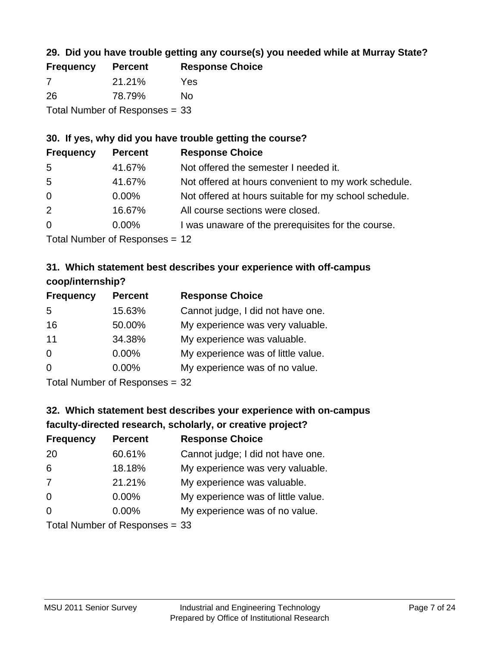### **29. Did you have trouble getting any course(s) you needed while at Murray State?**

| <b>Frequency</b>               | <b>Percent</b> | <b>Response Choice</b> |  |  |
|--------------------------------|----------------|------------------------|--|--|
| -7                             | 21.21%         | Yes                    |  |  |
| -26                            | 78.79%         | No.                    |  |  |
| Total Number of Responses = 33 |                |                        |  |  |

### **30. If yes, why did you have trouble getting the course?**

| <b>Frequency</b> | <b>Percent</b> | <b>Response Choice</b>                                |
|------------------|----------------|-------------------------------------------------------|
| -5               | 41.67%         | Not offered the semester I needed it.                 |
| -5               | 41.67%         | Not offered at hours convenient to my work schedule.  |
| $\overline{0}$   | $0.00\%$       | Not offered at hours suitable for my school schedule. |
| 2                | 16.67%         | All course sections were closed.                      |
| $\overline{0}$   | $0.00\%$       | I was unaware of the prerequisites for the course.    |
|                  |                |                                                       |

Total Number of Responses = 12

#### **31. Which statement best describes your experience with off-campus coop/internship?**

| <b>Frequency</b> | <b>Percent</b> | <b>Response Choice</b>             |
|------------------|----------------|------------------------------------|
| 5                | 15.63%         | Cannot judge, I did not have one.  |
| 16               | 50.00%         | My experience was very valuable.   |
| 11               | 34.38%         | My experience was valuable.        |
| $\Omega$         | 0.00%          | My experience was of little value. |
| $\Omega$         | 0.00%          | My experience was of no value.     |
|                  |                |                                    |

Total Number of Responses = 32

### **32. Which statement best describes your experience with on-campus faculty-directed research, scholarly, or creative project?**

| <b>Frequency</b> | <b>Percent</b>               | <b>Response Choice</b>             |
|------------------|------------------------------|------------------------------------|
| 20               | 60.61%                       | Cannot judge; I did not have one.  |
| 6                | 18.18%                       | My experience was very valuable.   |
| 7                | 21.21%                       | My experience was valuable.        |
| $\Omega$         | $0.00\%$                     | My experience was of little value. |
| $\Omega$         | $0.00\%$                     | My experience was of no value.     |
|                  | Total Number of Deepensee 22 |                                    |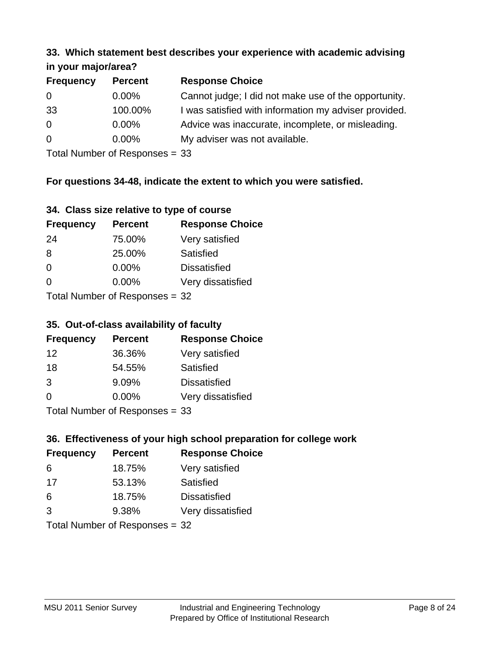#### **33. Which statement best describes your experience with academic advising in your major/area?**

| $\cdots$ your mapproved. |                |                                                       |
|--------------------------|----------------|-------------------------------------------------------|
| <b>Frequency</b>         | <b>Percent</b> | <b>Response Choice</b>                                |
| 0                        | $0.00\%$       | Cannot judge; I did not make use of the opportunity.  |
| 33                       | 100.00%        | I was satisfied with information my adviser provided. |
| $\overline{0}$           | $0.00\%$       | Advice was inaccurate, incomplete, or misleading.     |
| $\Omega$                 | $0.00\%$       | My adviser was not available.                         |
|                          |                |                                                       |

Total Number of Responses = 33

#### **For questions 34-48, indicate the extent to which you were satisfied.**

| 34. Class size relative to type of course |  |  |  |  |  |  |  |  |
|-------------------------------------------|--|--|--|--|--|--|--|--|
|-------------------------------------------|--|--|--|--|--|--|--|--|

| <b>Frequency</b> | <b>Percent</b>                   | <b>Response Choice</b> |
|------------------|----------------------------------|------------------------|
| -24              | 75.00%                           | Very satisfied         |
| 8                | 25.00%                           | Satisfied              |
| $\Omega$         | $0.00\%$                         | <b>Dissatisfied</b>    |
| $\Omega$         | 0.00%                            | Very dissatisfied      |
|                  | Total Number of Responses $=$ 32 |                        |

Total Number of Responses  $=$  32

#### **35. Out-of-class availability of faculty**

| <b>Frequency</b> | <b>Percent</b>                  | <b>Response Choice</b> |
|------------------|---------------------------------|------------------------|
| 12               | 36.36%                          | Very satisfied         |
| 18               | 54.55%                          | Satisfied              |
| 3                | 9.09%                           | <b>Dissatisfied</b>    |
| $\Omega$         | $0.00\%$                        | Very dissatisfied      |
|                  | $Total Number of Denonose = 22$ |                        |

Total Number of Responses = 33

### **36. Effectiveness of your high school preparation for college work**

| <b>Frequency</b>               | <b>Percent</b> | <b>Response Choice</b> |  |
|--------------------------------|----------------|------------------------|--|
| 6                              | 18.75%         | Very satisfied         |  |
| 17                             | 53.13%         | Satisfied              |  |
| 6                              | 18.75%         | <b>Dissatisfied</b>    |  |
| 3                              | 9.38%          | Very dissatisfied      |  |
| Total Number of Responses = 32 |                |                        |  |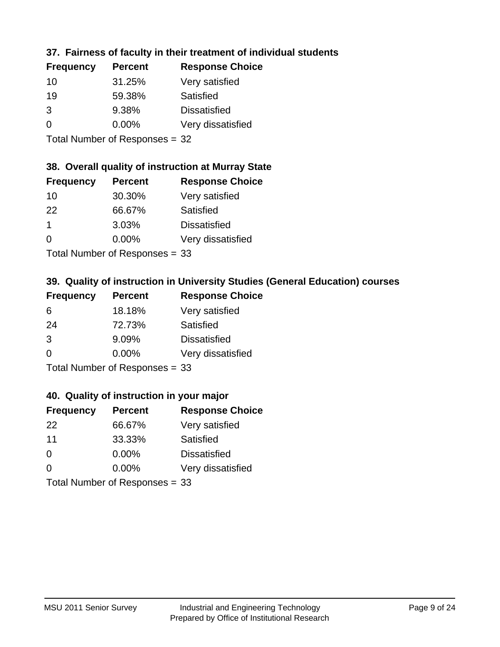### **37. Fairness of faculty in their treatment of individual students**

| <b>Frequency</b> | <b>Percent</b> | <b>Response Choice</b> |
|------------------|----------------|------------------------|
| 10               | 31.25%         | Very satisfied         |
| 19               | 59.38%         | Satisfied              |
| 3                | 9.38%          | <b>Dissatisfied</b>    |
| 0                | 0.00%          | Very dissatisfied      |
|                  |                |                        |

Total Number of Responses = 32

#### **38. Overall quality of instruction at Murray State**

| <b>Frequency</b> | <b>Percent</b>             | <b>Response Choice</b> |
|------------------|----------------------------|------------------------|
| 10               | 30.30%                     | Very satisfied         |
| 22               | 66.67%                     | Satisfied              |
| $\mathbf 1$      | 3.03%                      | <b>Dissatisfied</b>    |
| $\Omega$         | $0.00\%$                   | Very dissatisfied      |
|                  | Tatal Number of Desperance |                        |

Total Number of Responses = 33

### **39. Quality of instruction in University Studies (General Education) courses**

| <b>Frequency</b> | <b>Percent</b>                 | <b>Response Choice</b> |
|------------------|--------------------------------|------------------------|
| 6                | 18.18%                         | Very satisfied         |
| 24               | 72.73%                         | Satisfied              |
| 3                | 9.09%                          | <b>Dissatisfied</b>    |
| $\Omega$         | 0.00%                          | Very dissatisfied      |
|                  | Total Number of Responses = 33 |                        |

#### **40. Quality of instruction in your major**

| <b>Frequency</b> | <b>Percent</b>                 | <b>Response Choice</b> |
|------------------|--------------------------------|------------------------|
| 22               | 66.67%                         | Very satisfied         |
| 11               | 33.33%                         | Satisfied              |
| $\Omega$         | 0.00%                          | <b>Dissatisfied</b>    |
| $\Omega$         | $0.00\%$                       | Very dissatisfied      |
|                  | Total Number of Responses = 33 |                        |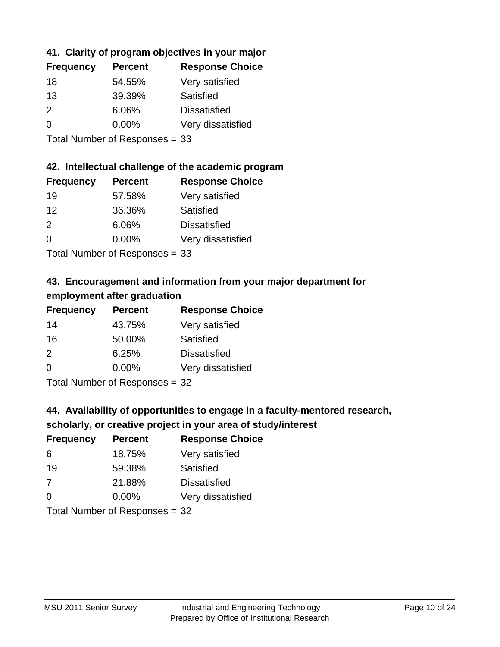### **41. Clarity of program objectives in your major**

| <b>Frequency</b> | <b>Percent</b> | <b>Response Choice</b> |
|------------------|----------------|------------------------|
| 18               | 54.55%         | Very satisfied         |
| 13               | 39.39%         | Satisfied              |
| 2                | 6.06%          | <b>Dissatisfied</b>    |
| $\Omega$         | $0.00\%$       | Very dissatisfied      |
|                  |                |                        |

Total Number of Responses = 33

#### **42. Intellectual challenge of the academic program**

| <b>Frequency</b> | <b>Percent</b> | <b>Response Choice</b> |
|------------------|----------------|------------------------|
| 19               | 57.58%         | Very satisfied         |
| 12               | 36.36%         | Satisfied              |
| $\mathcal{P}$    | 6.06%          | <b>Dissatisfied</b>    |
| $\Omega$         | 0.00%          | Very dissatisfied      |
|                  |                |                        |

Total Number of Responses = 33

### **43. Encouragement and information from your major department for employment after graduation**

| <b>Frequency</b> | <b>Percent</b> | <b>Response Choice</b> |
|------------------|----------------|------------------------|
| 14               | 43.75%         | Very satisfied         |
| 16               | 50.00%         | Satisfied              |
| 2                | 6.25%          | <b>Dissatisfied</b>    |
| $\Omega$         | $0.00\%$       | Very dissatisfied      |
|                  |                |                        |

Total Number of Responses = 32

### **44. Availability of opportunities to engage in a faculty-mentored research,**

#### **scholarly, or creative project in your area of study/interest**

| <b>Frequency</b> | <b>Percent</b> | <b>Response Choice</b> |
|------------------|----------------|------------------------|
| 6                | 18.75%         | Very satisfied         |
| 19               | 59.38%         | Satisfied              |
| -7               | 21.88%         | <b>Dissatisfied</b>    |
| $\Omega$         | 0.00%          | Very dissatisfied      |
|                  |                |                        |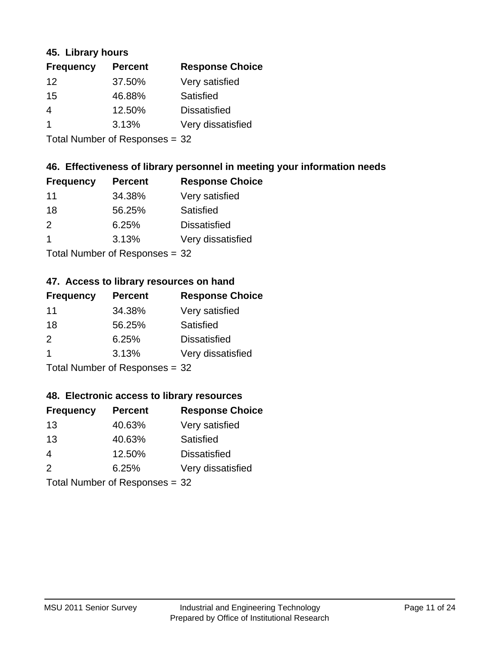#### **45. Library hours**

| <b>Frequency</b>     | <b>Percent</b> | <b>Response Choice</b> |
|----------------------|----------------|------------------------|
| 12                   | 37.50%         | Very satisfied         |
| 15                   | 46.88%         | Satisfied              |
| 4                    | 12.50%         | <b>Dissatisfied</b>    |
| $\blacktriangleleft$ | 3.13%          | Very dissatisfied      |
|                      |                |                        |

Total Number of Responses = 32

#### **46. Effectiveness of library personnel in meeting your information needs**

| <b>Frequency</b> | <b>Percent</b> | <b>Response Choice</b> |
|------------------|----------------|------------------------|
| 11               | 34.38%         | Very satisfied         |
| 18               | 56.25%         | Satisfied              |
| $\mathcal{P}$    | 6.25%          | <b>Dissatisfied</b>    |
|                  | 3.13%          | Very dissatisfied      |
|                  |                |                        |

Total Number of Responses = 32

#### **47. Access to library resources on hand**

| <b>Frequency</b> | <b>Percent</b>            | <b>Response Choice</b> |
|------------------|---------------------------|------------------------|
| 11               | 34.38%                    | Very satisfied         |
| 18               | 56.25%                    | Satisfied              |
| $\mathcal{P}$    | 6.25%                     | <b>Dissatisfied</b>    |
| $\overline{1}$   | 3.13%                     | Very dissatisfied      |
|                  | Total Number of Desponses |                        |

Total Number of Responses = 32

#### **48. Electronic access to library resources**

| <b>Frequency</b> | <b>Percent</b>                 | <b>Response Choice</b> |
|------------------|--------------------------------|------------------------|
| 13               | 40.63%                         | Very satisfied         |
| 13               | 40.63%                         | Satisfied              |
| 4                | 12.50%                         | <b>Dissatisfied</b>    |
| 2                | 6.25%                          | Very dissatisfied      |
|                  | Total Number of Responses = 32 |                        |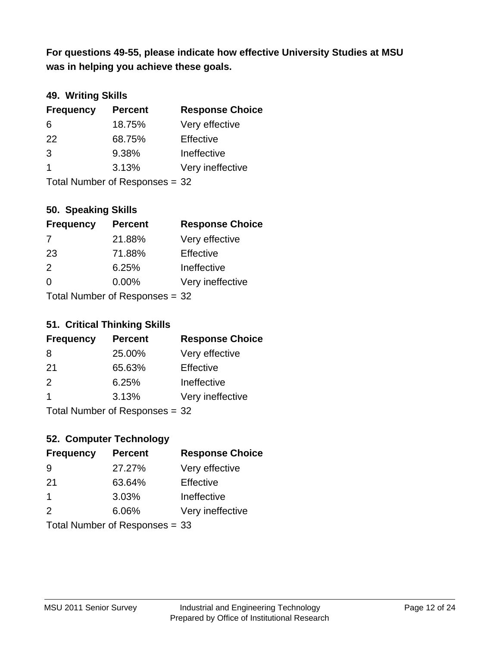**was in helping you achieve these goals. For questions 49-55, please indicate how effective University Studies at MSU** 

### **49. Writing Skills**

| <b>Frequency</b> | <b>Percent</b>                 | <b>Response Choice</b> |
|------------------|--------------------------------|------------------------|
| 6                | 18.75%                         | Very effective         |
| 22               | 68.75%                         | Effective              |
| 3                | 9.38%                          | Ineffective            |
| $\overline{1}$   | 3.13%                          | Very ineffective       |
|                  | Total Number of Responses = 32 |                        |

**50. Speaking Skills**

| <b>Frequency</b>               | <b>Percent</b> | <b>Response Choice</b> |
|--------------------------------|----------------|------------------------|
| 7                              | 21.88%         | Very effective         |
| 23                             | 71.88%         | Effective              |
| 2                              | 6.25%          | Ineffective            |
| $\Omega$                       | 0.00%          | Very ineffective       |
| Total Number of Responses = 32 |                |                        |

#### **51. Critical Thinking Skills**

| <b>Frequency</b> | <b>Percent</b>             | <b>Response Choice</b> |
|------------------|----------------------------|------------------------|
| 8                | 25.00%                     | Very effective         |
| 21               | 65.63%                     | Effective              |
| $\mathcal{P}$    | 6.25%                      | Ineffective            |
| $\overline{1}$   | 3.13%                      | Very ineffective       |
|                  | Total Number of Denonone – |                        |

Total Number of Responses = 32

### **52. Computer Technology**

| <b>Frequency</b> | <b>Percent</b>                 | <b>Response Choice</b> |
|------------------|--------------------------------|------------------------|
| 9                | 27.27%                         | Very effective         |
| 21               | 63.64%                         | Effective              |
| $\mathbf 1$      | 3.03%                          | Ineffective            |
| $\mathcal{P}$    | 6.06%                          | Very ineffective       |
|                  | Total Number of Responses = 33 |                        |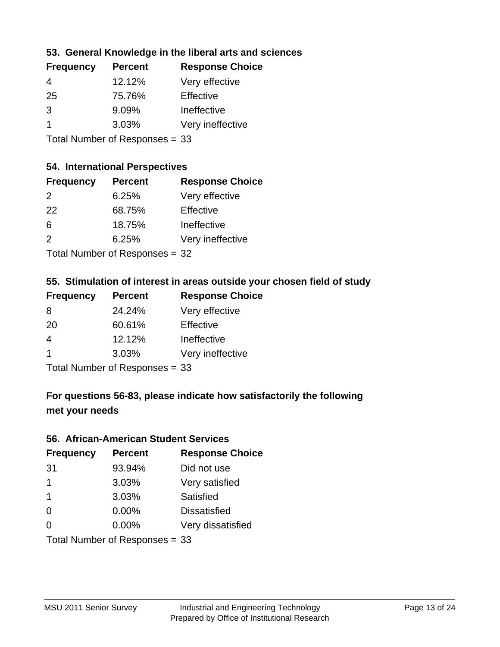#### **53. General Knowledge in the liberal arts and sciences**

| <b>Frequency</b> | <b>Percent</b> | <b>Response Choice</b> |
|------------------|----------------|------------------------|
| 4                | 12.12%         | Very effective         |
| 25               | 75.76%         | Effective              |
| 3                | 9.09%          | Ineffective            |
|                  | 3.03%          | Very ineffective       |
|                  |                |                        |

Total Number of Responses = 33

#### **54. International Perspectives**

| <b>Frequency</b> | <b>Percent</b> | <b>Response Choice</b> |
|------------------|----------------|------------------------|
| $\mathcal{P}$    | 6.25%          | Very effective         |
| 22               | 68.75%         | Effective              |
| 6                | 18.75%         | Ineffective            |
| $\mathcal{P}$    | 6.25%          | Very ineffective       |
|                  |                |                        |

Total Number of Responses = 32

### **55. Stimulation of interest in areas outside your chosen field of study**

| <b>Frequency</b>               | <b>Percent</b> | <b>Response Choice</b> |
|--------------------------------|----------------|------------------------|
| 8                              | 24.24%         | Very effective         |
| 20                             | 60.61%         | Effective              |
| $\overline{4}$                 | 12.12%         | Ineffective            |
| $\overline{1}$                 | 3.03%          | Very ineffective       |
| Total Number of Responses = 33 |                |                        |

### **For questions 56-83, please indicate how satisfactorily the following met your needs**

#### **56. African-American Student Services**

| <b>Frequency</b> | <b>Percent</b>                 | <b>Response Choice</b> |
|------------------|--------------------------------|------------------------|
| 31               | 93.94%                         | Did not use            |
| $\mathbf 1$      | 3.03%                          | Very satisfied         |
| $\mathbf 1$      | 3.03%                          | Satisfied              |
| 0                | $0.00\%$                       | <b>Dissatisfied</b>    |
| $\Omega$         | $0.00\%$                       | Very dissatisfied      |
|                  | Total Number of Responses = 33 |                        |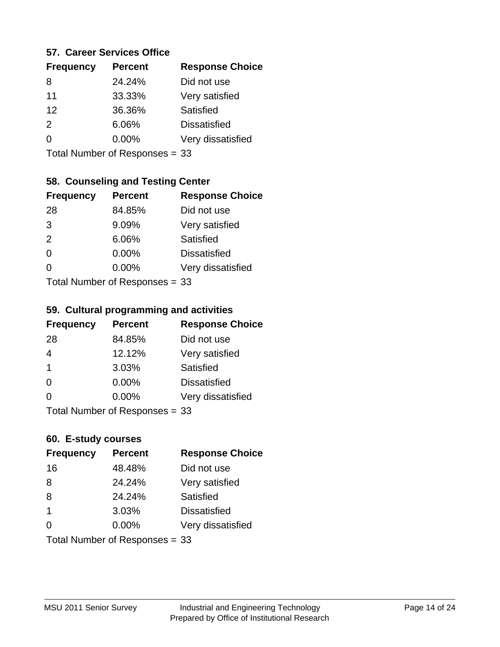#### **57. Career Services Office**

| <b>Frequency</b> | <b>Percent</b> | <b>Response Choice</b> |
|------------------|----------------|------------------------|
| 8                | 24.24%         | Did not use            |
| 11               | 33.33%         | Very satisfied         |
| 12               | 36.36%         | Satisfied              |
| $\mathcal{P}$    | 6.06%          | <b>Dissatisfied</b>    |
| ∩                | $0.00\%$       | Very dissatisfied      |
|                  |                |                        |

Total Number of Responses = 33

#### **58. Counseling and Testing Center**

| <b>Frequency</b> | <b>Percent</b>              | <b>Response Choice</b> |
|------------------|-----------------------------|------------------------|
| 28               | 84.85%                      | Did not use            |
| 3                | 9.09%                       | Very satisfied         |
| 2                | 6.06%                       | <b>Satisfied</b>       |
| $\Omega$         | 0.00%                       | <b>Dissatisfied</b>    |
| $\Omega$         | 0.00%                       | Very dissatisfied      |
|                  | Total Number of Despanses - |                        |

Total Number of Responses = 33

#### **59. Cultural programming and activities**

| <b>Frequency</b> | <b>Percent</b>                 | <b>Response Choice</b> |
|------------------|--------------------------------|------------------------|
| 28               | 84.85%                         | Did not use            |
| $\overline{4}$   | 12.12%                         | Very satisfied         |
| $\mathbf 1$      | 3.03%                          | Satisfied              |
| $\Omega$         | $0.00\%$                       | <b>Dissatisfied</b>    |
| $\Omega$         | $0.00\%$                       | Very dissatisfied      |
|                  | Total Number of Responses = 33 |                        |

## **60. E-study courses**

| <b>Frequency</b> | <b>Percent</b>                 | <b>Response Choice</b> |
|------------------|--------------------------------|------------------------|
| 16               | 48.48%                         | Did not use            |
| 8                | 24.24%                         | Very satisfied         |
| 8                | 24.24%                         | Satisfied              |
| $\overline{1}$   | 3.03%                          | <b>Dissatisfied</b>    |
| $\Omega$         | 0.00%                          | Very dissatisfied      |
|                  | Total Number of Responses = 33 |                        |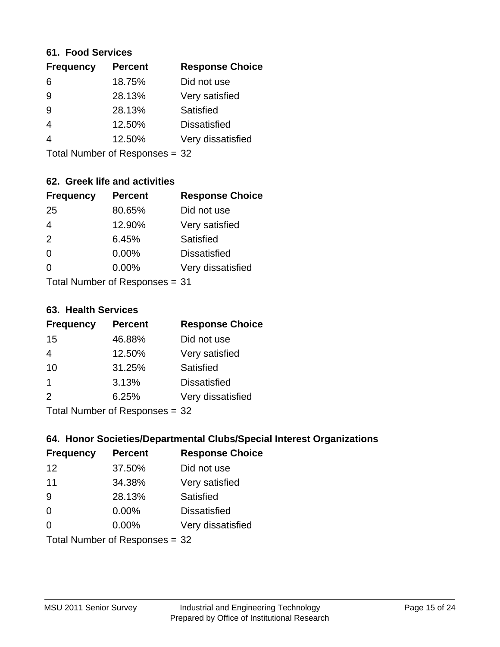#### **61. Food Services**

| <b>Frequency</b> | <b>Percent</b> | <b>Response Choice</b> |
|------------------|----------------|------------------------|
| 6                | 18.75%         | Did not use            |
| 9                | 28.13%         | Very satisfied         |
| 9                | 28.13%         | Satisfied              |
| 4                | 12.50%         | <b>Dissatisfied</b>    |
| 4                | 12.50%         | Very dissatisfied      |
|                  |                |                        |

Total Number of Responses = 32

#### **62. Greek life and activities**

| <b>Frequency</b>               | <b>Percent</b> | <b>Response Choice</b> |
|--------------------------------|----------------|------------------------|
| 25                             | 80.65%         | Did not use            |
| $\overline{4}$                 | 12.90%         | Very satisfied         |
| 2                              | 6.45%          | <b>Satisfied</b>       |
| $\Omega$                       | 0.00%          | <b>Dissatisfied</b>    |
| 0                              | $0.00\%$       | Very dissatisfied      |
| Total Number of Responses = 31 |                |                        |

#### **63. Health Services**

| <b>Frequency</b> | <b>Percent</b>             | <b>Response Choice</b> |
|------------------|----------------------------|------------------------|
| 15               | 46.88%                     | Did not use            |
| 4                | 12.50%                     | Very satisfied         |
| 10               | 31.25%                     | Satisfied              |
| -1               | 3.13%                      | <b>Dissatisfied</b>    |
| $\mathcal{P}$    | 6.25%                      | Very dissatisfied      |
|                  | Tetal Number of Desperance |                        |

Total Number of Responses = 32

### **64. Honor Societies/Departmental Clubs/Special Interest Organizations**

| <b>Frequency</b> | <b>Percent</b>                 | <b>Response Choice</b> |
|------------------|--------------------------------|------------------------|
| 12               | 37.50%                         | Did not use            |
| 11               | 34.38%                         | Very satisfied         |
| 9                | 28.13%                         | Satisfied              |
| $\Omega$         | 0.00%                          | <b>Dissatisfied</b>    |
| $\Omega$         | 0.00%                          | Very dissatisfied      |
|                  | Total Number of Responses = 32 |                        |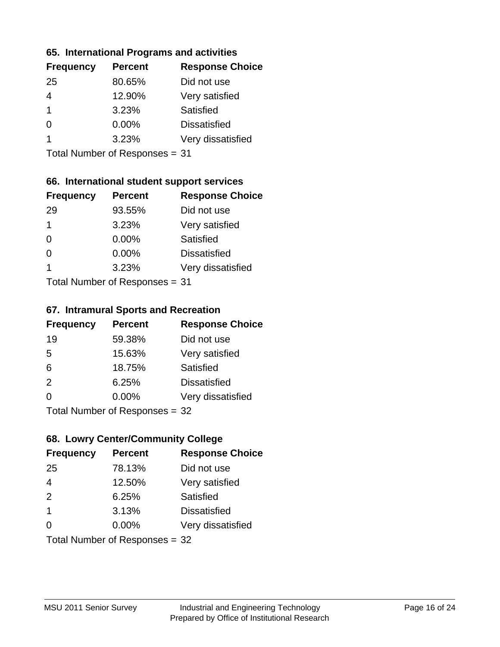#### **65. International Programs and activities**

| <b>Percent</b> | <b>Response Choice</b> |
|----------------|------------------------|
| 80.65%         | Did not use            |
| 12.90%         | Very satisfied         |
| 3.23%          | Satisfied              |
| 0.00%          | <b>Dissatisfied</b>    |
| 3.23%          | Very dissatisfied      |
|                |                        |

Total Number of Responses = 31

#### **66. International student support services**

| <b>Frequency</b> | <b>Percent</b>            | <b>Response Choice</b> |
|------------------|---------------------------|------------------------|
| 29               | 93.55%                    | Did not use            |
| 1                | 3.23%                     | Very satisfied         |
| $\Omega$         | $0.00\%$                  | Satisfied              |
| $\Omega$         | 0.00%                     | <b>Dissatisfied</b>    |
| 1                | 3.23%                     | Very dissatisfied      |
|                  | Total Number of Desponses |                        |

Total Number of Responses = 31

#### **67. Intramural Sports and Recreation**

| <b>Frequency</b> | <b>Percent</b>              | <b>Response Choice</b> |
|------------------|-----------------------------|------------------------|
| 19               | 59.38%                      | Did not use            |
| 5                | 15.63%                      | Very satisfied         |
| 6                | 18.75%                      | Satisfied              |
| 2                | 6.25%                       | <b>Dissatisfied</b>    |
| $\Omega$         | 0.00%                       | Very dissatisfied      |
|                  | Total Number of Depanonce - |                        |

Total Number of Responses = 32

### **68. Lowry Center/Community College**

| <b>Frequency</b>        | <b>Percent</b>                 | <b>Response Choice</b> |
|-------------------------|--------------------------------|------------------------|
| 25                      | 78.13%                         | Did not use            |
| $\overline{4}$          | 12.50%                         | Very satisfied         |
| 2                       | 6.25%                          | Satisfied              |
| $\overline{\mathbf{1}}$ | 3.13%                          | <b>Dissatisfied</b>    |
| $\Omega$                | $0.00\%$                       | Very dissatisfied      |
|                         | Total Number of Responses = 32 |                        |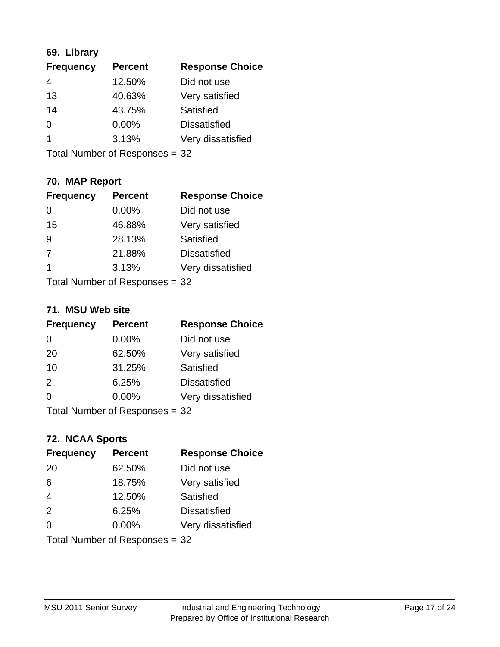#### **69. Library**

| <b>Frequency</b> | <b>Percent</b> | <b>Response Choice</b> |
|------------------|----------------|------------------------|
| 4                | 12.50%         | Did not use            |
| 13               | 40.63%         | Very satisfied         |
| 14               | 43.75%         | Satisfied              |
| 0                | $0.00\%$       | <b>Dissatisfied</b>    |
|                  | 3.13%          | Very dissatisfied      |
|                  |                |                        |

Total Number of Responses = 32

### **70. MAP Report**

| <b>Frequency</b> | <b>Percent</b>                 | <b>Response Choice</b> |
|------------------|--------------------------------|------------------------|
|                  | 0.00%                          | Did not use            |
| 15               | 46.88%                         | Very satisfied         |
| 9                | 28.13%                         | Satisfied              |
| 7                | 21.88%                         | <b>Dissatisfied</b>    |
| -1               | 3.13%                          | Very dissatisfied      |
|                  | Total Number of Responses = 32 |                        |

#### **71. MSU Web site**

| <b>Frequency</b> | <b>Percent</b>                 | <b>Response Choice</b> |
|------------------|--------------------------------|------------------------|
| $\Omega$         | $0.00\%$                       | Did not use            |
| 20               | 62.50%                         | Very satisfied         |
| 10               | 31.25%                         | Satisfied              |
| 2                | 6.25%                          | <b>Dissatisfied</b>    |
| $\Omega$         | 0.00%                          | Very dissatisfied      |
|                  | Total Number of Responses = 32 |                        |

#### **72. NCAA Sports**

| <b>Frequency</b> | <b>Percent</b>                 | <b>Response Choice</b> |
|------------------|--------------------------------|------------------------|
| 20               | 62.50%                         | Did not use            |
| 6                | 18.75%                         | Very satisfied         |
| $\overline{4}$   | 12.50%                         | Satisfied              |
| 2                | 6.25%                          | <b>Dissatisfied</b>    |
| $\Omega$         | $0.00\%$                       | Very dissatisfied      |
|                  | Total Number of Responses = 32 |                        |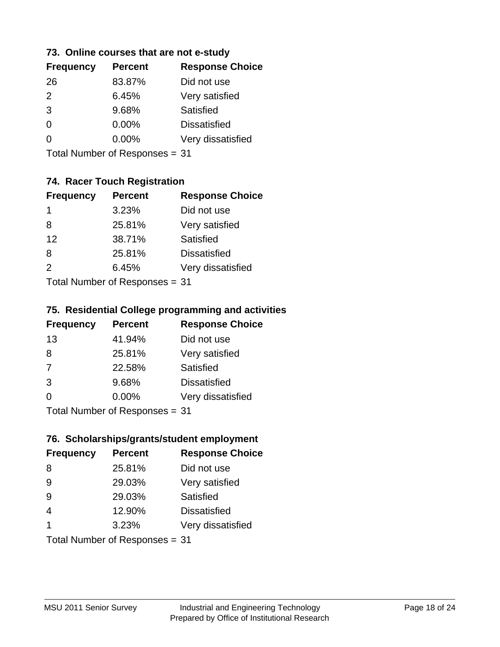#### **73. Online courses that are not e-study**

| <b>Frequency</b> | <b>Percent</b> | <b>Response Choice</b> |
|------------------|----------------|------------------------|
| 26               | 83.87%         | Did not use            |
| 2                | 6.45%          | Very satisfied         |
| 3                | 9.68%          | Satisfied              |
| 0                | $0.00\%$       | <b>Dissatisfied</b>    |
|                  | $0.00\%$       | Very dissatisfied      |
|                  |                |                        |

Total Number of Responses = 31

### **74. Racer Touch Registration**

| <b>Frequency</b>          | <b>Percent</b> | <b>Response Choice</b> |
|---------------------------|----------------|------------------------|
| 1                         | 3.23%          | Did not use            |
| 8                         | 25.81%         | Very satisfied         |
| 12                        | 38.71%         | <b>Satisfied</b>       |
| 8                         | 25.81%         | <b>Dissatisfied</b>    |
| $\mathcal{P}$             | 6.45%          | Very dissatisfied      |
| Total Number of Desponses |                |                        |

Total Number of Responses = 31

#### **75. Residential College programming and activities**

| <b>Frequency</b>          | <b>Percent</b> | <b>Response Choice</b> |
|---------------------------|----------------|------------------------|
| 13                        | 41.94%         | Did not use            |
| 8                         | 25.81%         | Very satisfied         |
| 7                         | 22.58%         | Satisfied              |
| 3                         | 9.68%          | <b>Dissatisfied</b>    |
| ∩                         | 0.00%          | Very dissatisfied      |
| Total Number of Desponses |                |                        |

Total Number of Responses = 31

#### **76. Scholarships/grants/student employment**

| <b>Frequency</b>               | <b>Percent</b> | <b>Response Choice</b> |
|--------------------------------|----------------|------------------------|
| 8                              | 25.81%         | Did not use            |
| 9                              | 29.03%         | Very satisfied         |
| 9                              | 29.03%         | Satisfied              |
| $\overline{4}$                 | 12.90%         | <b>Dissatisfied</b>    |
| -1                             | 3.23%          | Very dissatisfied      |
| Total Number of Responses = 31 |                |                        |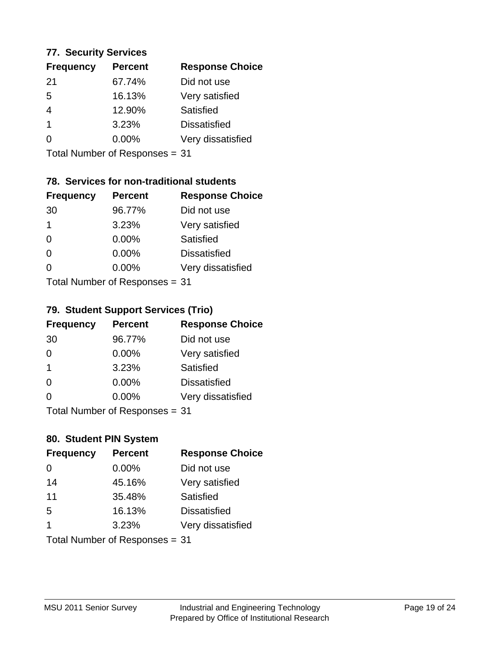#### **77. Security Services**

| <b>Percent</b> | <b>Response Choice</b> |
|----------------|------------------------|
| 67.74%         | Did not use            |
| 16.13%         | Very satisfied         |
| 12.90%         | Satisfied              |
| 3.23%          | <b>Dissatisfied</b>    |
| $0.00\%$       | Very dissatisfied      |
|                |                        |

Total Number of Responses = 31

### **78. Services for non-traditional students**

| <b>Frequency</b>          | <b>Percent</b> | <b>Response Choice</b> |
|---------------------------|----------------|------------------------|
| 30                        | 96.77%         | Did not use            |
| 1                         | 3.23%          | Very satisfied         |
| $\Omega$                  | $0.00\%$       | <b>Satisfied</b>       |
| $\Omega$                  | 0.00%          | <b>Dissatisfied</b>    |
| $\Omega$                  | 0.00%          | Very dissatisfied      |
| Total Number of Desponses |                |                        |

Total Number of Responses = 31

### **79. Student Support Services (Trio)**

| <b>Frequency</b>                | <b>Percent</b> | <b>Response Choice</b> |
|---------------------------------|----------------|------------------------|
| 30                              | 96.77%         | Did not use            |
| $\Omega$                        | 0.00%          | Very satisfied         |
| $\mathbf 1$                     | 3.23%          | <b>Satisfied</b>       |
| $\Omega$                        | 0.00%          | <b>Dissatisfied</b>    |
| $\Omega$                        | 0.00%          | Very dissatisfied      |
| $Total$ Number of Despanses $-$ |                |                        |

Total Number of Responses = 31

### **80. Student PIN System**

| <b>Frequency</b>        | <b>Percent</b>                 | <b>Response Choice</b> |
|-------------------------|--------------------------------|------------------------|
| $\Omega$                | 0.00%                          | Did not use            |
| 14                      | 45.16%                         | Very satisfied         |
| 11                      | 35.48%                         | Satisfied              |
| 5                       | 16.13%                         | <b>Dissatisfied</b>    |
| $\overline{\mathbf{1}}$ | 3.23%                          | Very dissatisfied      |
|                         | Total Number of Responses = 31 |                        |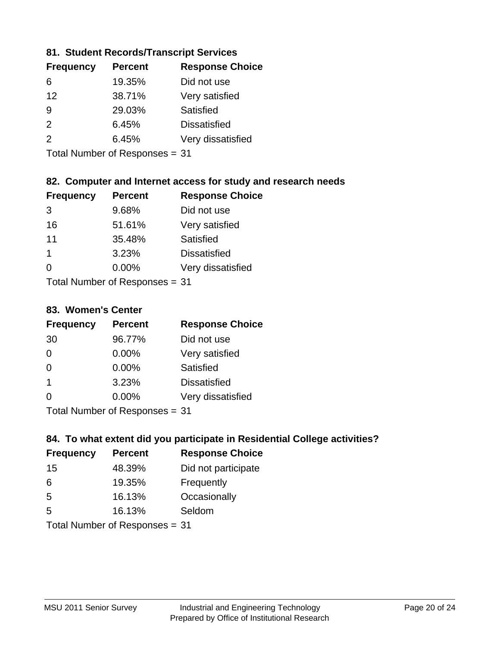#### **81. Student Records/Transcript Services**

| <b>Frequency</b> | <b>Percent</b> | <b>Response Choice</b> |
|------------------|----------------|------------------------|
| 6                | 19.35%         | Did not use            |
| 12               | 38.71%         | Very satisfied         |
| 9                | 29.03%         | Satisfied              |
| $\mathcal{P}$    | 6.45%          | <b>Dissatisfied</b>    |
| $\mathcal{P}$    | 6.45%          | Very dissatisfied      |

Total Number of Responses = 31

#### **82. Computer and Internet access for study and research needs**

| <b>Frequency</b>          | <b>Percent</b> | <b>Response Choice</b> |
|---------------------------|----------------|------------------------|
| 3                         | 9.68%          | Did not use            |
| 16                        | 51.61%         | Very satisfied         |
| 11                        | 35.48%         | Satisfied              |
| $\mathbf 1$               | 3.23%          | <b>Dissatisfied</b>    |
| $\Omega$                  | 0.00%          | Very dissatisfied      |
| Total Number of Desponses |                |                        |

Total Number of Responses = 31

#### **83. Women's Center**

| <b>Frequency</b> | <b>Percent</b>                                                                                                                   | <b>Response Choice</b> |
|------------------|----------------------------------------------------------------------------------------------------------------------------------|------------------------|
| 30               | 96.77%                                                                                                                           | Did not use            |
| $\Omega$         | 0.00%                                                                                                                            | Very satisfied         |
| $\Omega$         | $0.00\%$                                                                                                                         | Satisfied              |
| -1               | 3.23%                                                                                                                            | <b>Dissatisfied</b>    |
| $\Omega$         | 0.00%                                                                                                                            | Very dissatisfied      |
|                  | $\tau$ . $\tau$ . In the set of $\tau$ , $\tau$ , $\tau$ , $\tau$ , $\tau$ , $\tau$ , $\tau$ , $\tau$ , $\tau$ , $\tau$ , $\tau$ |                        |

Total Number of Responses = 31

#### **84. To what extent did you participate in Residential College activities?**

| <b>Frequency</b> | <b>Percent</b>                           | <b>Response Choice</b> |
|------------------|------------------------------------------|------------------------|
| 15               | 48.39%                                   | Did not participate    |
| 6                | 19.35%                                   | Frequently             |
| 5                | 16.13%                                   | Occasionally           |
| 5                | 16.13%                                   | Seldom                 |
|                  | $\mathbf{r}$ . The state of $\mathbf{r}$ |                        |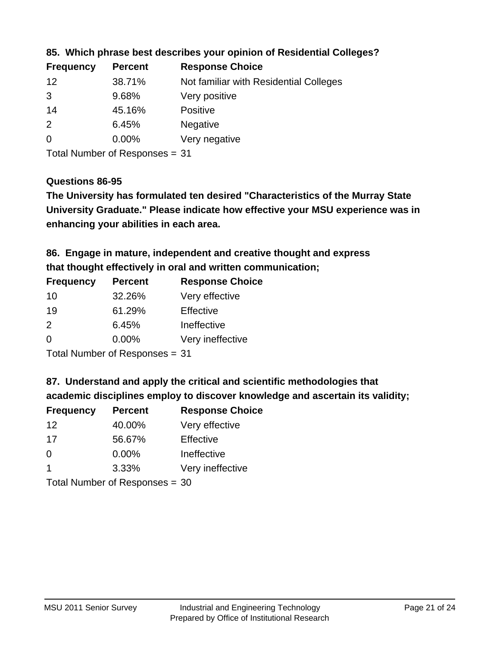| <b>Frequency</b> | <b>Percent</b> | <b>Response Choice</b>                 |
|------------------|----------------|----------------------------------------|
| 12               | 38.71%         | Not familiar with Residential Colleges |
| 3                | 9.68%          | Very positive                          |
| 14               | 45.16%         | <b>Positive</b>                        |
| $\overline{2}$   | 6.45%          | <b>Negative</b>                        |
| $\overline{0}$   | $0.00\%$       | Very negative                          |
|                  |                |                                        |

#### **85. Which phrase best describes your opinion of Residential Colleges?**

Total Number of Responses = 31

#### **Questions 86-95**

**University Graduate." Please indicate how effective your MSU experience was in The University has formulated ten desired "Characteristics of the Murray State enhancing your abilities in each area.**

### **86. Engage in mature, independent and creative thought and express that thought effectively in oral and written communication;**

| <b>Percent</b> | <b>Response Choice</b> |
|----------------|------------------------|
| 32.26%         | Very effective         |
| 61.29%         | Effective              |
| 6.45%          | Ineffective            |
| $0.00\%$       | Very ineffective       |
|                |                        |

Total Number of Responses = 31

#### **87. Understand and apply the critical and scientific methodologies that**

**academic disciplines employ to discover knowledge and ascertain its validity;**

| <b>Frequency</b> | <b>Percent</b>             | <b>Response Choice</b> |
|------------------|----------------------------|------------------------|
| 12               | 40.00%                     | Very effective         |
| 17               | 56.67%                     | Effective              |
| $\Omega$         | 0.00%                      | Ineffective            |
| -1               | 3.33%                      | Very ineffective       |
|                  | Tatal Number of Desperance |                        |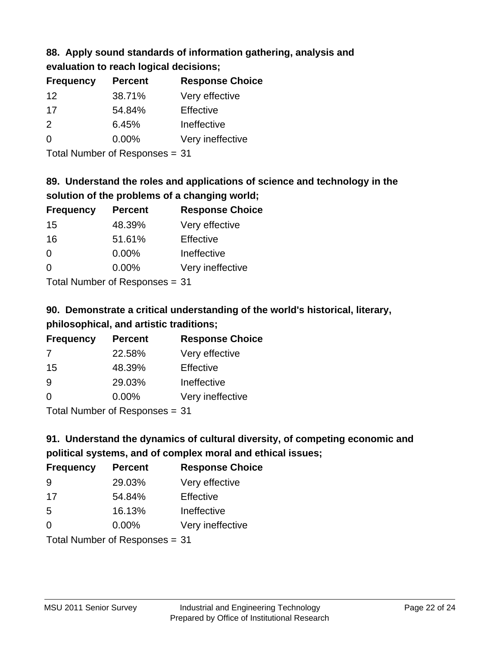# **88. Apply sound standards of information gathering, analysis and**

| evaluation to reach logical decisions; |  |
|----------------------------------------|--|
|----------------------------------------|--|

| <b>Percent</b> | <b>Response Choice</b> |
|----------------|------------------------|
| 38.71%         | Very effective         |
| 54.84%         | Effective              |
| 6.45%          | Ineffective            |
| $0.00\%$       | Very ineffective       |
|                |                        |

Total Number of Responses = 31

### **89. Understand the roles and applications of science and technology in the solution of the problems of a changing world;**

| <b>Frequency</b> | <b>Percent</b> | <b>Response Choice</b> |
|------------------|----------------|------------------------|
| 15               | 48.39%         | Very effective         |
| 16               | 51.61%         | Effective              |
| $\Omega$         | 0.00%          | Ineffective            |
| $\Omega$         | 0.00%          | Very ineffective       |
|                  |                |                        |

Total Number of Responses = 31

### **90. Demonstrate a critical understanding of the world's historical, literary, philosophical, and artistic traditions;**

| <b>Frequency</b> | <b>Percent</b> | <b>Response Choice</b> |
|------------------|----------------|------------------------|
| 7                | 22.58%         | Very effective         |
| 15               | 48.39%         | Effective              |
| 9                | 29.03%         | Ineffective            |
| ∩                | 0.00%          | Very ineffective       |
|                  |                |                        |

Total Number of Responses = 31

### **91. Understand the dynamics of cultural diversity, of competing economic and political systems, and of complex moral and ethical issues;**

| <b>Frequency</b> | <b>Percent</b>                 | <b>Response Choice</b> |
|------------------|--------------------------------|------------------------|
| 9                | 29.03%                         | Very effective         |
| 17               | 54.84%                         | Effective              |
| 5                | 16.13%                         | Ineffective            |
| $\Omega$         | $0.00\%$                       | Very ineffective       |
|                  | Total Number of Responses = 31 |                        |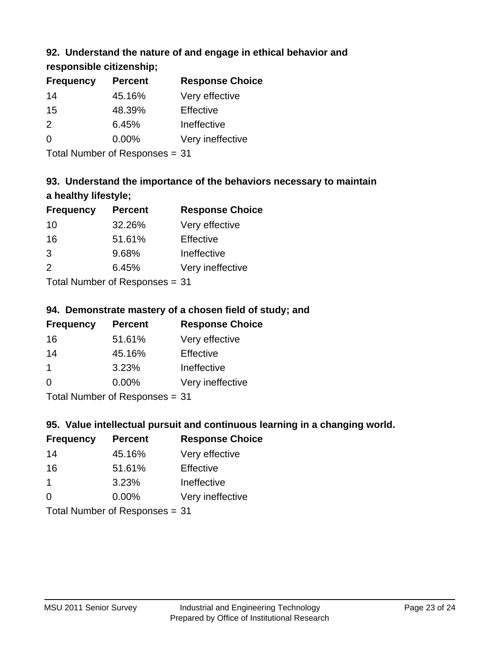### **92. Understand the nature of and engage in ethical behavior and**

**responsible citizenship;**

| <b>Percent</b> | <b>Response Choice</b> |
|----------------|------------------------|
| 45.16%         | Very effective         |
| 48.39%         | Effective              |
| 6.45%          | Ineffective            |
| $0.00\%$       | Very ineffective       |
|                |                        |

Total Number of Responses = 31

### **93. Understand the importance of the behaviors necessary to maintain a healthy lifestyle;**

| <b>Frequency</b> | <b>Percent</b> | <b>Response Choice</b> |
|------------------|----------------|------------------------|
| 10               | 32.26%         | Very effective         |
| 16               | 51.61%         | Effective              |
| 3                | 9.68%          | Ineffective            |
| 2                | 6.45%          | Very ineffective       |
|                  |                |                        |

Total Number of Responses = 31

#### **94. Demonstrate mastery of a chosen field of study; and**

| <b>Frequency</b> | <b>Percent</b> | <b>Response Choice</b> |
|------------------|----------------|------------------------|
| 16               | 51.61%         | Very effective         |
| 14               | 45.16%         | Effective              |
|                  | 3.23%          | Ineffective            |
| $\Omega$         | $0.00\%$       | Very ineffective       |
|                  |                |                        |

Total Number of Responses = 31

### **95. Value intellectual pursuit and continuous learning in a changing world.**

| <b>Frequency</b>     | <b>Percent</b>                                                                                                                                                                                                                 | <b>Response Choice</b> |
|----------------------|--------------------------------------------------------------------------------------------------------------------------------------------------------------------------------------------------------------------------------|------------------------|
| 14                   | 45.16%                                                                                                                                                                                                                         | Very effective         |
| 16                   | 51.61%                                                                                                                                                                                                                         | Effective              |
| $\blacktriangleleft$ | 3.23%                                                                                                                                                                                                                          | Ineffective            |
| $\Omega$             | 0.00%                                                                                                                                                                                                                          | Very ineffective       |
|                      | The INDIAN Contract Contract Contract Contract Contract Contract Contract Contract Contract Contract Contract Contract Contract Contract Contract Contract Contract Contract Contract Contract Contract Contract Contract Cont |                        |